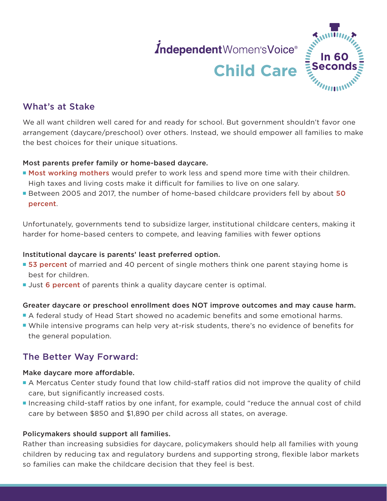# *independent Women's Voice®*<br>**Child Care**



## What's at Stake

We all want children well cared for and ready for school. But government shouldn't favor one arrangement (daycare/preschool) over others. Instead, we should empower all families to make the best choices for their unique situations.

#### Most parents prefer family or home-based daycare.

- **P [Most working mothers](https://slate.com/human-interest/2016/10/the-majority-of-working-mothers-would-rather-stay-home-instead-wonder-why.html)** would prefer to work less and spend more time with their children. High taxes and living costs make it difficult for families to live on one salary.
- **Between 2005 and 2017, the number of home-based childcare providers fell by about 50** [percent](https://www.presidency.ucsb.edu/documents/press-release-white-house-principles-for-child-care-reform-increasing-access-affordable).

Unfortunately, governments tend to subsidize larger, institutional childcare centers, making it harder for home-based centers to compete, and leaving families with fewer options

#### Institutional daycare is parents' least preferred option.

- [53 percent](https://americancompass.org/wp-content/uploads/2021/03/American-Compass_2021-Home-Building-Survey_Final.pdf) of married and 40 percent of single mothers think one parent staying home is best for children.
- **Just [6 percent](http://eric.ed.gov/?id=ED445786)** of parents think a quality daycare center is optimal.

#### Greater daycare or preschool enrollment does NOT improve outcomes and may cause harm.

- P A federal study of Head Start showed no academic benefits and some emotional harms.
- **P** While intensive programs can help very at-risk students, there's no evidence of benefits for the general population.

### The Better Way Forward:

#### Make daycare more affordable.

- A Mercatus Center study found that low child-staff ratios did not improve the quality of child care, but significantly increased costs.
- **Increasing child-staff ratios by one infant, for example, could "reduce the annual cost of child** care by between \$850 and \$1,890 per child across all states, on average.

#### Policymakers should support all families.

Rather than increasing subsidies for daycare, policymakers should help all families with young children by reducing tax and regulatory burdens and supporting strong, flexible labor markets so families can make the childcare decision that they feel is best.